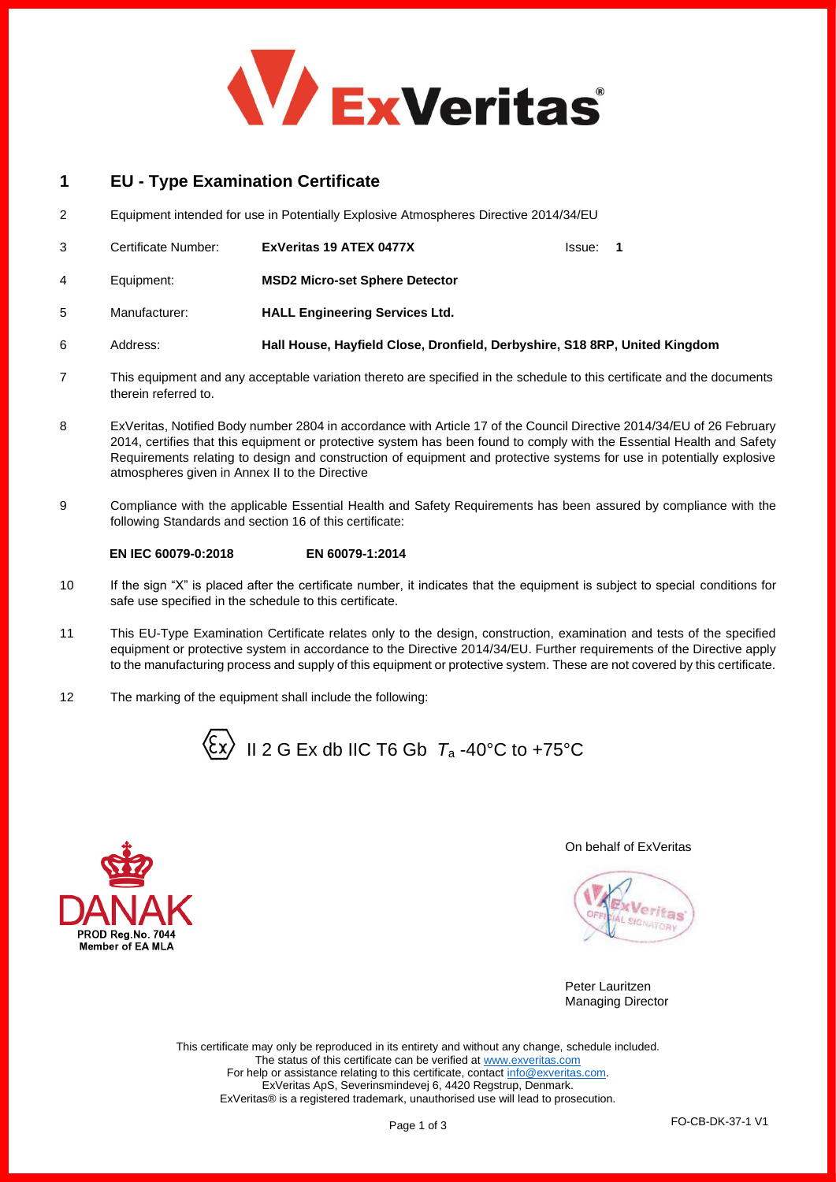

# **1 EU - Type Examination Certificate**

2 Equipment intended for use in Potentially Explosive Atmospheres Directive 2014/34/EU

|    | Certificate Number: | ExVeritas 19 ATEX 0477X                                                    | lssue: | -1 |
|----|---------------------|----------------------------------------------------------------------------|--------|----|
| 4  | Equipment:          | <b>MSD2 Micro-set Sphere Detector</b>                                      |        |    |
| 5. | Manufacturer:       | <b>HALL Engineering Services Ltd.</b>                                      |        |    |
|    | Address:            | Hall House, Hayfield Close, Dronfield, Derbyshire, S18 8RP, United Kingdom |        |    |

- 7 This equipment and any acceptable variation thereto are specified in the schedule to this certificate and the documents therein referred to.
- 8 ExVeritas, Notified Body number 2804 in accordance with Article 17 of the Council Directive 2014/34/EU of 26 February 2014, certifies that this equipment or protective system has been found to comply with the Essential Health and Safety Requirements relating to design and construction of equipment and protective systems for use in potentially explosive atmospheres given in Annex II to the Directive
- 9 Compliance with the applicable Essential Health and Safety Requirements has been assured by compliance with the following Standards and section 16 of this certificate:

## **EN IEC 60079-0:2018 EN 60079-1:2014**

- 10 If the sign "X" is placed after the certificate number, it indicates that the equipment is subject to special conditions for safe use specified in the schedule to this certificate.
- 11 This EU-Type Examination Certificate relates only to the design, construction, examination and tests of the specified equipment or protective system in accordance to the Directive 2014/34/EU. Further requirements of the Directive apply to the manufacturing process and supply of this equipment or protective system. These are not covered by this certificate.
- 12 The marking of the equipment shall include the following:





## On behalf of ExVeritas

Peter Lauritzen Managing Director

This certificate may only be reproduced in its entirety and without any change, schedule included. The status of this certificate can be verified a[t www.exveritas.com](http://www.exveritas.com/) For help or assistance relating to this certificate, contact [info@exveritas.com.](mailto:info@exveritas.com) ExVeritas ApS, Severinsmindevej 6, 4420 Regstrup, Denmark. ExVeritas® is a registered trademark, unauthorised use will lead to prosecution.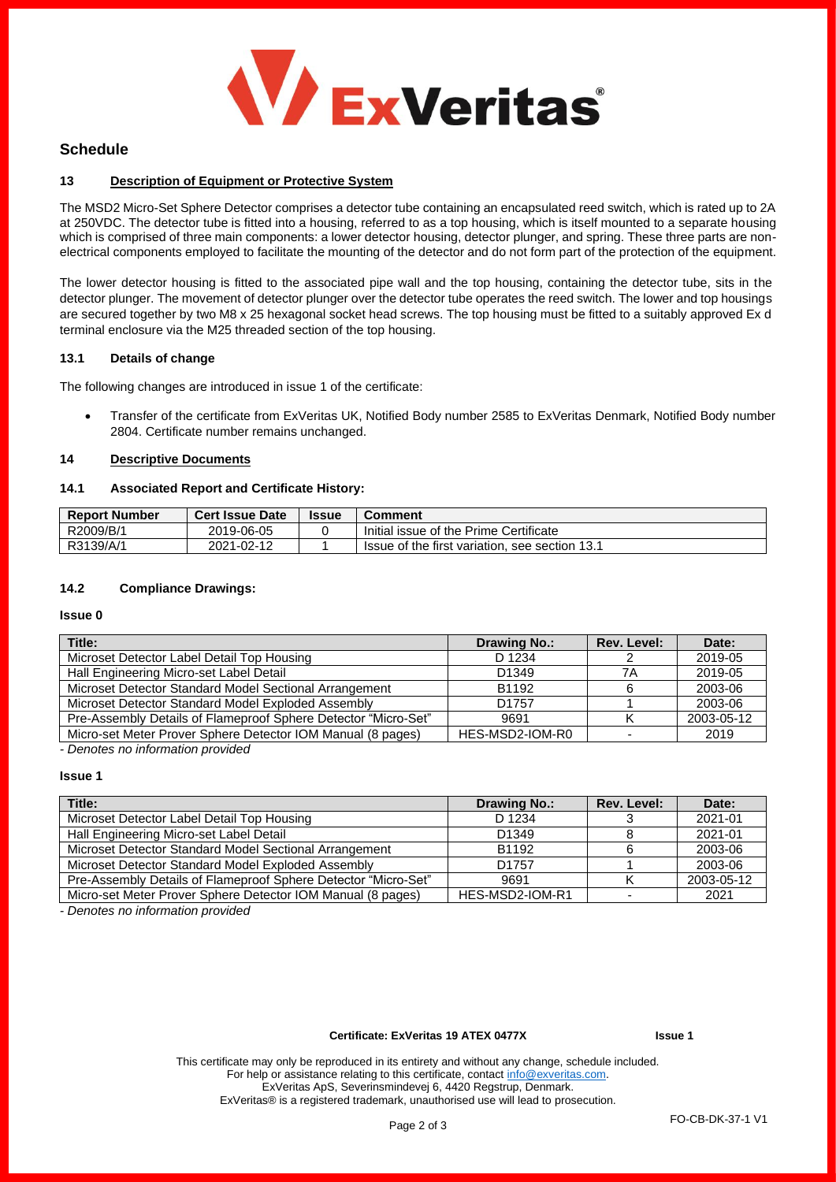

## **Schedule**

## **13 Description of Equipment or Protective System**

The MSD2 Micro-Set Sphere Detector comprises a detector tube containing an encapsulated reed switch, which is rated up to 2A at 250VDC. The detector tube is fitted into a housing, referred to as a top housing, which is itself mounted to a separate housing which is comprised of three main components: a lower detector housing, detector plunger, and spring. These three parts are nonelectrical components employed to facilitate the mounting of the detector and do not form part of the protection of the equipment.

The lower detector housing is fitted to the associated pipe wall and the top housing, containing the detector tube, sits in the detector plunger. The movement of detector plunger over the detector tube operates the reed switch. The lower and top housings are secured together by two M8 x 25 hexagonal socket head screws. The top housing must be fitted to a suitably approved Ex d terminal enclosure via the M25 threaded section of the top housing.

#### **13.1 Details of change**

The following changes are introduced in issue 1 of the certificate:

• Transfer of the certificate from ExVeritas UK, Notified Body number 2585 to ExVeritas Denmark, Notified Body number 2804. Certificate number remains unchanged.

#### **14 Descriptive Documents**

#### **14.1 Associated Report and Certificate History:**

| <b>Report Number</b> | <b>Cert Issue Date</b> | <b>Issue</b> | <b>Comment</b>                                 |
|----------------------|------------------------|--------------|------------------------------------------------|
| R2009/B/1            | 2019-06-05             |              | Initial issue of the Prime Certificate         |
| R3139/A/1            | 2021-02-12             |              | Issue of the first variation, see section 13.1 |

## **14.2 Compliance Drawings:**

#### **Issue 0**

| Title:                                                         | Drawing No.:      | Rev. Level: | Date:      |
|----------------------------------------------------------------|-------------------|-------------|------------|
| Microset Detector Label Detail Top Housing                     | D 1234            |             | 2019-05    |
| Hall Engineering Micro-set Label Detail                        | D <sub>1349</sub> | 7Α          | 2019-05    |
| Microset Detector Standard Model Sectional Arrangement         | B1192             |             | 2003-06    |
| Microset Detector Standard Model Exploded Assembly             | D <sub>1757</sub> |             | 2003-06    |
| Pre-Assembly Details of Flameproof Sphere Detector "Micro-Set" | 9691              |             | 2003-05-12 |
| Micro-set Meter Prover Sphere Detector IOM Manual (8 pages)    | HES-MSD2-IOM-R0   |             | 2019       |
| Departed by the following the property of the of               |                   |             |            |

*- Denotes no information provided*

## **Issue 1**

| Drawing No.:      | Rev. Level: | Date:      |
|-------------------|-------------|------------|
| D 1234            |             | 2021-01    |
| D <sub>1349</sub> |             | 2021-01    |
| B1192             |             | 2003-06    |
| D <sub>1757</sub> |             | 2003-06    |
| 9691              |             | 2003-05-12 |
| HES-MSD2-IOM-R1   |             | 2021       |
|                   |             |            |

*- Denotes no information provided*

#### **Certificate: ExVeritas 19 ATEX 0477X Issue 1**

This certificate may only be reproduced in its entirety and without any change, schedule included. For help or assistance relating to this certificate, contact [info@exveritas.com.](mailto:info@exveritas.com) ExVeritas ApS, Severinsmindevej 6, 4420 Regstrup, Denmark. ExVeritas® is a registered trademark, unauthorised use will lead to prosecution.